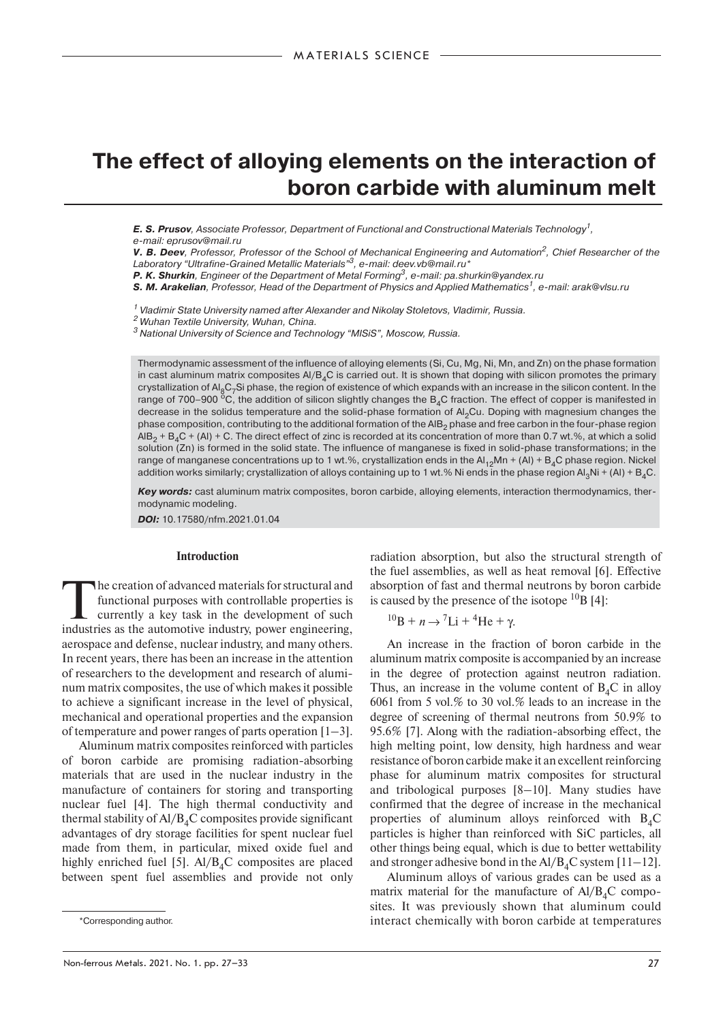# **The effect of alloying elements on the interaction of boron carbide with aluminum melt**

**E. S. Prusov**, Associate Professor, Department of Functional and Constructional Materials Technology<sup>1</sup>, e-mail: eprusov@mail.ru

*V. B. Deev*, Professor, Professor of the School of Mechanical Engineering and Automation2, Chief Researcher of the Laboratory "Ultrafine-Grained Metallic Materials"<sup>3</sup>, e-mail: deev.vb@mail.ru\*

**P. K. Shurkin**, Engineer of the Department of Metal Forming<sup>3</sup>, e-mail: pa.shurkin@yandex.ru

**S. M. Arakelian**, Professor, Head of the Department of Physics and Applied Mathematics<sup>1</sup>, e-mail: arak@vlsu.ru

 $^{\text{\tiny{\textsf{1}}} }$  Vladimir State University named after Alexander and Nikolay Stoletovs, Vladimir, Russia.

2 Wuhan Textile University, Wuhan, China.

3 National University of Science and Technolоgy "MISiS", Moscow, Russia.

Thermodynamic assessment of the influence of alloying elements (Si, Cu, Mg, Ni, Mn, and Zn) on the phase formation in cast aluminum matrix composites  $A/B<sub>4</sub>C$  is carried out. It is shown that doping with silicon promotes the primary crystallization of  $A|_8C_7S$  phase, the region of existence of which expands with an increase in the silicon content. In the range of 700–900  $^{\circ}$ C, the addition of silicon slightly changes the B<sub>4</sub>C fraction. The effect of copper is manifested in decrease in the solidus temperature and the solid-phase formation of Al<sub>2</sub>Cu. Doping with magnesium changes the phase composition, contributing to the additional formation of the AIB<sub>2</sub> phase and free carbon in the four-phase region  $AIB_2 + B_4C + (Al) + C$ . The direct effect of zinc is recorded at its concentration of more than 0.7 wt.%, at which a solid solution (Zn) is formed in the solid state. The influence of manganese is fixed in solid-phase transformations; in the range of manganese concentrations up to 1 wt.%, crystallization ends in the  $Al_{12}Mn + (Al) + B_4C$  phase region. Nickel addition works similarly; crystallization of alloys containing up to 1 wt.% Ni ends in the phase region  $Al_3Ni + (Al) + B_4C$ .

*Key words:* cast aluminum matrix composites, boron carbide, alloying elements, interaction thermodynamics, thermodynamic modeling.

*DOI:* 10.17580/nfm.2021.01.04

## **Introduction**

The creation of advanced materials for structural and<br>
functional purposes with controllable properties is<br>
currently a key task in the development of such<br>
industries as the automotive industry power engineering functional purposes with controllable properties is industries as the automotive industry, power engineering, aerospace and defense, nuclear industry, and many others. In recent years, there has been an increase in the attention of researchers to the development and research of aluminum matrix composites, the use of which makes it possible to achieve a significant increase in the level of physical, mechanical and operational properties and the expansion of temperature and power ranges of parts operation [1–3].

Aluminum matrix composites reinforced with particles of boron carbide are promising radiation-absorbing materials that are used in the nuclear industry in the manufacture of containers for storing and transporting nuclear fuel [4]. The high thermal conductivity and thermal stability of  $A/\overline{B_4C}$  composites provide significant advantages of dry storage facilities for spent nuclear fuel made from them, in particular, mixed oxide fuel and highly enriched fuel [5].  $\text{Al}/\text{B}_4\text{C}$  composites are placed between spent fuel assemblies and provide not only radiation absorption, but also the structural strength of the fuel assemblies, as well as heat removal [6]. Effective absorption of fast and thermal neutrons by boron carbide is caused by the presence of the isotope  $^{10}B$  [4]:

$$
{}^{10}\text{B} + n \rightarrow {}^{7}\text{Li} + {}^{4}\text{He} + \gamma.
$$

An increase in the fraction of boron carbide in the aluminum matrix composite is accompanied by an increase in the degree of protection against neutron radiation. Thus, an increase in the volume content of  $B_4C$  in alloy 6061 from 5 vol.% to 30 vol.% leads to an increase in the degree of screening of thermal neutrons from 50.9% to 95.6% [7]. Along with the radiation-absorbing effect, the high melting point, low density, high hardness and wear resistance of boron carbide make it an excellent reinforcing phase for aluminum matrix composites for structural and tribological purposes [8–10]. Many studies have confirmed that the degree of increase in the mechanical properties of aluminum alloys reinforced with  $B_4C$ particles is higher than reinforced with SiC particles, all other things being equal, which is due to better wettability and stronger adhesive bond in the  $\text{Al}/\text{B}_4\text{C}$  system [11–12].

Aluminum alloys of various grades can be used as a matrix material for the manufacture of  $A/JB<sub>4</sub>C$  composites. It was previously shown that aluminum could interact chemically with boron carbide at temperatures

<sup>\*</sup>Corresponding author.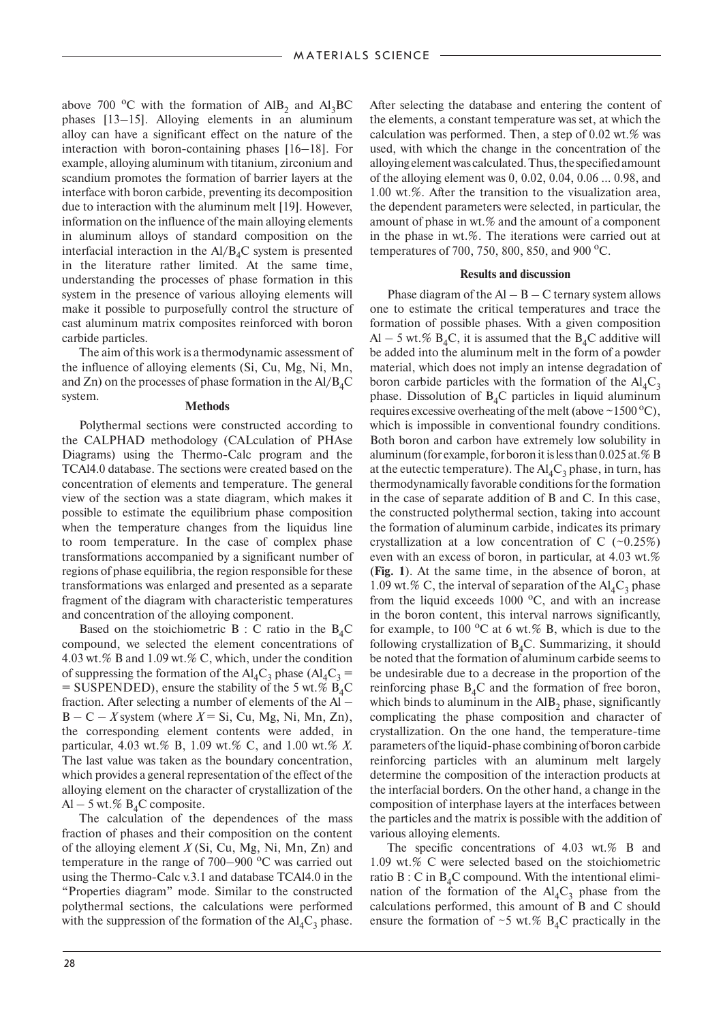above 700  $^{\circ}$ C with the formation of AlB<sub>2</sub> and Al<sub>3</sub>BC phases [13–15]. Alloying elements in an aluminum alloy can have a significant effect on the nature of the interaction with boron-containing phases [16–18]. For example, alloying aluminum with titanium, zirconium and scandium promotes the formation of barrier layers at the interface with boron carbide, preventing its decomposition due to interaction with the aluminum melt [19]. However, information on the influence of the main alloying elements in aluminum alloys of standard composition on the interfacial interaction in the  $A1/B<sub>4</sub>C$  system is presented in the literature rather limited. At the same time, understanding the processes of phase formation in this system in the presence of various alloying elements will make it possible to purposefully control the structure of cast aluminum matrix composites reinforced with boron carbide particles.

The aim of this work is a thermodynamic assessment of the influence of alloying elements (Si, Cu, Mg, Ni, Mn, and Zn) on the processes of phase formation in the  $Al/B_4C$ <br>system.

## **Methods**

Polythermal sections were constructed according to the CALPHAD methodology (CALculation of PHAse Diagrams) using the Thermo-Calc program and the TCAl4.0 database. The sections were created based on the concentration of elements and temperature. The general view of the section was a state diagram, which makes it possible to estimate the equilibrium phase composition when the temperature changes from the liquidus line to room temperature. In the case of complex phase transformations accompanied by a significant number of regions of phase equilibria, the region responsible for these transformations was enlarged and presented as a separate fragment of the diagram with characteristic temperatures and concentration of the alloying component.

Based on the stoichiometric  $B : C$  ratio in the  $B<sub>4</sub>C$ compound, we selected the element concentrations of 4.03 wt.% B and 1.09 wt.% C, which, under the condition of suppressing the formation of the  $Al_4C_3$  phase ( $Al_4C_3$  = = SUSPENDED), ensure the stability of the 5 wt.%  $\angle B_4C$ fraction. After selecting a number of elements of the Al –  $B - C - X$  system (where  $X = Si$ , Cu, Mg, Ni, Mn, Zn), the corresponding element contents were added, in particular, 4.03 wt.% B, 1.09 wt.% C, and 1.00 wt.% *X*. The last value was taken as the boundary concentration, which provides a general representation of the effect of the alloying element on the character of crystallization of the  $Al - 5$  wt.%  $B_4C$  composite.

The calculation of the dependences of the mass fraction of phases and their composition on the content of the alloying element *X* (Si, Cu, Mg, Ni, Mn, Zn) and temperature in the range of  $700-900$  °C was carried out using the Thermo-Calc v.3.1 and database TCAl4.0 in the "Properties diagram" mode. Similar to the constructed polythermal sections, the calculations were performed with the suppression of the formation of the  $Al_4C_3$  phase.

After selecting the database and entering the content of the elements, a constant temperature was set, at which the calculation was performed. Then, a step of  $0.02$  wt.% was used, with which the change in the concentration of the alloying element was calculated. Thus, the specified amount of the alloying element was 0, 0.02, 0.04, 0.06 ... 0.98, and 1.00 wt.%. After the transition to the visualization area, the dependent parameters were selected, in particular, the amount of phase in wt.% and the amount of a component in the phase in wt.%. The iterations were carried out at temperatures of 700, 750, 800, 850, and 900  $^{\circ}$ C.

## **Results and discussion**

Phase diagram of the  $AI - B - C$  ternary system allows one to estimate the critical temperatures and trace the formation of possible phases. With a given composition Al – 5 wt.%  $B_4C$ , it is assumed that the  $B_4C$  additive will be added into the aluminum melt in the form of a powder material, which does not imply an intense degradation of boron carbide particles with the formation of the  $\text{Al}_4\text{C}_3$ phase. Dissolution of  $B<sub>4</sub>C$  particles in liquid aluminum requires excessive overheating of the melt (above  $\sim$  1500 °C), which is impossible in conventional foundry conditions. Both boron and carbon have extremely low solubility in aluminum (for example, for boron it is less than 0.025 at.% B at the eutectic temperature). The  $\text{Al}_4\text{C}_3$  phase, in turn, has thermodynamically favorable conditions for the formation in the case of separate addition of B and C. In this case, the constructed polythermal section, taking into account the formation of aluminum carbide, indicates its primary crystallization at a low concentration of C  $(-0.25\%)$ even with an excess of boron, in particular, at 4.03 wt.% (**Fig. 1**). At the same time, in the absence of boron, at 1.09 wt.% C, the interval of separation of the  $Al_4C_3$  phase from the liquid exceeds  $1000 \degree C$ , and with an increase in the boron content, this interval narrows significantly, for example, to 100  $\mathrm{^{\circ}C}$  at 6 wt.% B, which is due to the following crystallization of  $B_4C$ . Summarizing, it should be noted that the formation of aluminum carbide seems to be undesirable due to a decrease in the proportion of the reinforcing phase  $B_4C$  and the formation of free boron, which binds to aluminum in the  $AIB<sub>2</sub>$  phase, significantly complicating the phase composition and character of crystallization. On the one hand, the temperature-time parameters of the liquid-phase combining of boron carbide reinforcing particles with an aluminum melt largely determine the composition of the interaction products at the interfacial borders. On the other hand, a change in the composition of interphase layers at the interfaces between the particles and the matrix is possible with the addition of various alloying elements.

The specific concentrations of 4.03 wt.% B and 1.09 wt.% C were selected based on the stoichiometric ratio  $B : C$  in  $B_4C$  compound. With the intentional elimination of the formation of the  $Al_4C_3$  phase from the calculations performed, this amount of B and C should ensure the formation of  $\sim$ 5 wt.% B<sub>4</sub>C practically in the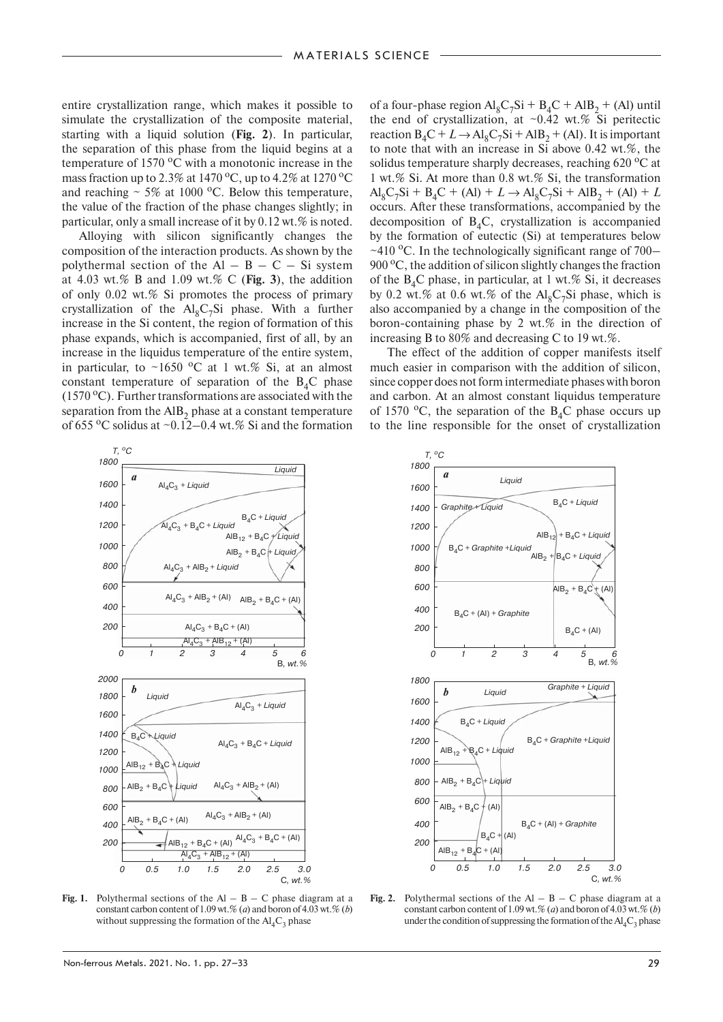entire crystallization range, which makes it possible to simulate the crystallization of the composite material, starting with a liquid solution (**Fig. 2**). In particular, the separation of this phase from the liquid begins at a temperature of 1570  $\rm{^oC}$  with a monotonic increase in the mass fraction up to 2.3% at 1470 °C, up to 4.2% at 1270 °C and reaching  $\sim 5\%$  at 1000 °C. Below this temperature, the value of the fraction of the phase changes slightly; in particular, only a small increase of it by  $0.12$  wt.% is noted.

Alloying with silicon significantly changes the composition of the interaction products. As shown by the polythermal section of the  $Al - B - C - Si$  system at 4.03 wt.% B and 1.09 wt.% C (**Fig. 3**), the addition of only 0.02 wt.% Si promotes the process of primary crystallization of the  $Al_8C_7Si$  phase. With a further increase in the Si content, the region of formation of this phase expands, which is accompanied, first of all, by an increase in the liquidus temperature of the entire system, in particular, to ~1650  $\rm{^{\circ}C}$  at 1 wt.% Si, at an almost constant temperature of separation of the  $B_4C$  phase (1570  $\rm{^o}$ C). Further transformations are associated with the separation from the  $AIB<sub>2</sub>$  phase at a constant temperature of 655  $\mathrm{^{\circ}C}$  solidus at  $\mathrm{^{\sim}0.12{-}0.4}$  wt.% Si and the formation

of a four-phase region  $Al_8C_7Si + B_4C + AlB_2 + (Al)$  until the end of crystallization, at  $\sim 0.42$  wt.% Si peritectic reaction  $B_4C + L \rightarrow Al_8C_7Si + AlB_2 + (Al)$ . It is important to note that with an increase in Si above 0.42 wt.%, the solidus temperature sharply decreases, reaching  $620\degree C$  at 1 wt.% Si. At more than 0.8 wt.% Si, the transformation  $Al_8C_7Si + B_4C + (Al) + L \rightarrow Al_8C_7Si + AlB_2 + (Al) + L$ occurs. After these transformations, accompanied by the decomposition of  $B_4C$ , crystallization is accompanied by the formation of eutectic (Si) at temperatures below  $\sim$ 410 °C. In the technologically significant range of 700– 900 °C, the addition of silicon slightly changes the fraction of the  $B_4C$  phase, in particular, at 1 wt.% Si, it decreases by 0.2 wt.% at 0.6 wt.% of the  $Al_8C_7Si$  phase, which is also accompanied by a change in the composition of the boron-containing phase by 2 wt.% in the direction of increasing B to 80% and decreasing C to 19 wt.%.

The effect of the addition of copper manifests itself much easier in comparison with the addition of silicon, since copper does not form intermediate phases with boron and carbon. At an almost constant liquidus temperature of 1570  $^{\circ}$ C, the separation of the B<sub>4</sub>C phase occurs up to the line responsible for the onset of crystallization



**Fig. 1.** Polythermal sections of the  $AI - B - C$  phase diagram at a constant carbon content of 1.09 wt.% (*a*) and boron of 4.03 wt.% (*b*) without suppressing the formation of the  $\text{Al}_4\text{C}_3$  phase



**Fig. 2.** Polythermal sections of the  $AI - B - C$  phase diagram at a constant carbon content of 1.09 wt.% (*a*) and boron of 4.03 wt.% (*b*) under the condition of suppressing the formation of the  $\text{Al}_4\text{C}_3$  phase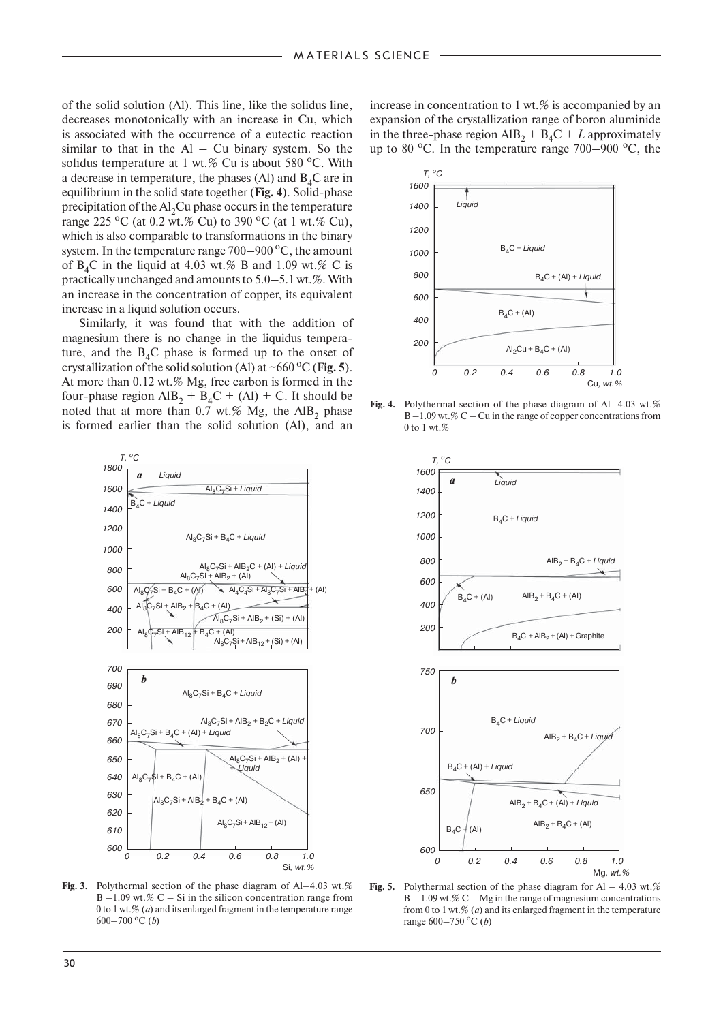of the solid solution (Al). This line, like the solidus line, decreases monotonically with an increase in Cu, which is associated with the occurrence of a eutectic reaction similar to that in the  $Al - Cu$  binary system. So the solidus temperature at 1 wt.% Cu is about 580  $^{\circ}$ C. With a decrease in temperature, the phases (Al) and  $B_4C$  are in equilibrium in the solid state together (**Fig. 4**). Solid-phase precipitation of the  $Al<sub>2</sub>Cu$  phase occurs in the temperature range 225 <sup>o</sup>C (at 0.2 wt.% Cu) to 390 <sup>o</sup>C (at 1 wt.% Cu), which is also comparable to transformations in the binary system. In the temperature range  $700-900$  °C, the amount of  $B_4C$  in the liquid at 4.03 wt.% B and 1.09 wt.% C is practically unchanged and amounts to 5.0–5.1 wt.%. With an increase in the concentration of copper, its equivalent increase in a liquid solution occurs.

Similarly, it was found that with the addition of magnesium there is no change in the liquidus temperature, and the  $B_4C$  phase is formed up to the onset of crystallization of the solid solution (Al) at  $\sim 660 \degree$ C (Fig. 5). At more than 0.12 wt.% Mg, free carbon is formed in the four-phase region  $\text{AlB}_2 + \text{B}_4\text{C} + (\text{Al}) + \text{C}$ . It should be noted that at more than  $0.7$  wt.% Mg, the AlB<sub>2</sub> phase is formed earlier than the solid solution (Al), and an



**Fig. 3.** Polythermal section of the phase diagram of Al–4.03 wt.%  $B -1.09$  wt.%  $C - Si$  in the silicon concentration range from 0 to 1 wt.% (*a*) and its enlarged fragment in the temperature range 600–700 °C (*b*)

increase in concentration to 1 wt.% is accompanied by an expansion of the crystallization range of boron aluminide in the three-phase region  $AIB_2 + B_4C + L$  approximately up to 80  $^{\circ}$ C. In the temperature range 700–900  $^{\circ}$ C, the



Fig. 4. Polythermal section of the phase diagram of Al–4.03 wt.% B –1.09 wt.% C – Cu in the range of copper concentrations from 0 to 1 wt.%



Fig. 5. Polythermal section of the phase diagram for Al – 4.03 wt.%  $B - 1.09$  wt.%  $C - Mg$  in the range of magnesium concentrations from 0 to 1 wt.% (*a*) and its enlarged fragment in the temperature range 600–750 оС (*b*)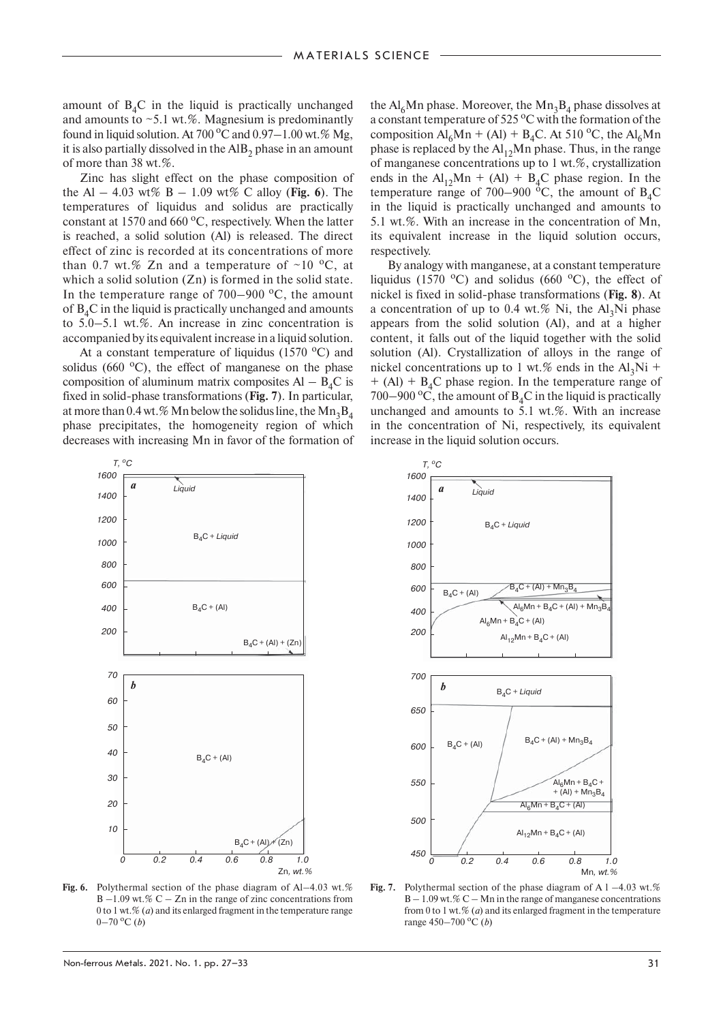amount of  $B_4C$  in the liquid is practically unchanged and amounts to  $\sim$  5.1 wt.%. Magnesium is predominantly found in liquid solution. At 700 °C and 0.97 $-1.00$  wt.% Mg, it is also partially dissolved in the  $AIB<sub>2</sub>$  phase in an amount of more than 38 wt.%.

Zinc has slight effect on the phase composition of the Al – 4.03 wt% B – 1.09 wt% C alloy (**Fig. 6**). The temperatures of liquidus and solidus are practically constant at 1570 and 660 $\mathrm{^oC}$ , respectively. When the latter is reached, a solid solution (Al) is released. The direct effect of zinc is recorded at its concentrations of more than 0.7 wt.% Zn and a temperature of  $\sim$ 10 °C, at which a solid solution (Zn) is formed in the solid state. In the temperature range of  $700-900$  °C, the amount of  $B_4C$  in the liquid is practically unchanged and amounts to 5.0–5.1 wt.%. An increase in zinc concentration is accompanied by its equivalent increase in a liquid solution.

At a constant temperature of liquidus  $(1570 \degree C)$  and solidus (660 $^{\circ}$ C), the effect of manganese on the phase composition of aluminum matrix composites  $AI - B<sub>4</sub>C$  is fixed in solid-phase transformations (**Fig. 7**). In particular, at more than 0.4 wt.% Mn below the solidus line, the  $Mn_3B_4$ phase precipitates, the homogeneity region of which decreases with increasing Mn in favor of the formation of

the  $Al<sub>6</sub>Mn$  phase. Moreover, the  $Mn<sub>3</sub>B<sub>4</sub>$  phase dissolves at a constant temperature of 525 °C with the formation of the composition  $Al_6Mn + (Al) + B_4C$ . At 510 °C, the  $Al_6Mn$ phase is replaced by the  $Al<sub>12</sub>Mn$  phase. Thus, in the range of manganese concentrations up to 1 wt.%, crystallization ends in the  $Al<sub>12</sub>Mn + (Al) + B<sub>4</sub>C$  phase region. In the temperature range of 700–900  $^{\circ}$ C, the amount of B<sub>4</sub>C in the liquid is practically unchanged and amounts to 5.1 wt.%. With an increase in the concentration of Mn, its equivalent increase in the liquid solution occurs, respectively.

By analogy with manganese, at a constant temperature liquidus (1570 °C) and solidus (660 °C), the effect of nickel is fixed in solid-phase transformations (**Fig. 8**). At a concentration of up to 0.4 wt.% Ni, the  $Al_3Ni$  phase appears from the solid solution (Al), and at a higher content, it falls out of the liquid together with the solid solution (Al). Crystallization of alloys in the range of nickel concentrations up to 1 wt.% ends in the Al<sub>3</sub>Ni +  $+$  (Al)  $+$  B<sub>4</sub>C phase region. In the temperature range of 700–900 °C, the amount of  $B_4C$  in the liquid is practically unchanged and amounts to 5.1 wt.%. With an increase in the concentration of Ni, respectively, its equivalent increase in the liquid solution occurs.



Fig. 6. Polythermal section of the phase diagram of Al–4.03 wt.%  $B -1.09$  wt.%  $C - Zn$  in the range of zinc concentrations from 0 to 1 wt.% (*a*) and its enlarged fragment in the temperature range  $0-70$  <sup>o</sup>C (*b*)



**Fig. 7.** Polythermal section of the phase diagram of A  $1 - 4.03$  wt.%  $B - 1.09$  wt.% C – Mn in the range of manganese concentrations from 0 to 1 wt.% (*a*) and its enlarged fragment in the temperature range 450–700 °C (*b*)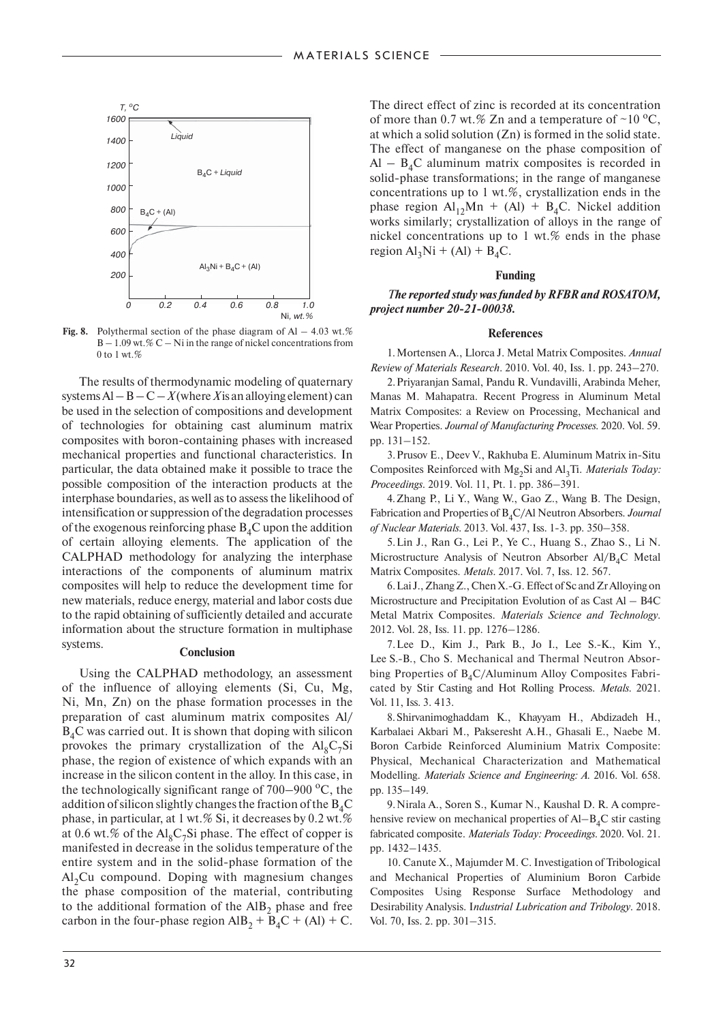

**Fig. 8.** Polythermal section of the phase diagram of Al  $-4.03$  wt.%  $B - 1.09$  wt.% C – Ni in the range of nickel concentrations from 0 to 1 wt. $%$ 

The results of thermodynamic modeling of quaternary systems  $Al - B - C - X$  (where X is an alloying element) can be used in the selection of compositions and development of technologies for obtaining cast aluminum matrix composites with boron-containing phases with increased mechanical properties and functional characteristics. In particular, the data obtained make it possible to trace the possible composition of the interaction products at the interphase boundaries, as well as to assess the likelihood of intensification or suppression of the degradation processes of the exogenous reinforcing phase  $B_4C$  upon the addition of certain alloying elements. The application of the CALPHAD methodology for analyzing the interphase interactions of the components of aluminum matrix composites will help to reduce the development time for new materials, reduce energy, material and labor costs due to the rapid obtaining of sufficiently detailed and accurate information about the structure formation in multiphase systems. **Conclusion**

Using the CALPHAD methodology, an assessment of the influence of alloying elements (Si, Cu, Mg, Ni, Mn, Zn) on the phase formation processes in the preparation of cast aluminum matrix composites Al/  $B_4C$  was carried out. It is shown that doping with silicon provokes the primary crystallization of the  $Al_8C_7Si$ phase, the region of existence of which expands with an increase in the silicon content in the alloy. In this case, in the technologically significant range of  $700-900$  °C, the addition of silicon slightly changes the fraction of the  $B_4C$ phase, in particular, at 1 wt.% Si, it decreases by 0.2 wt.% at 0.6 wt.% of the  $Al_8C_7Si$  phase. The effect of copper is manifested in decrease in the solidus temperature of the entire system and in the solid-phase formation of the  $Al<sub>2</sub>Cu$  compound. Doping with magnesium changes the phase composition of the material, contributing to the additional formation of the  $AIB<sub>2</sub>$  phase and free carbon in the four-phase region  $\text{AlB}_2 + \text{B}_4\text{C} + (\text{Al}) + \text{C}$ .

The direct effect of zinc is recorded at its concentration of more than 0.7 wt.% Zn and a temperature of ~10  $^{\circ}C$ , at which a solid solution (Zn) is formed in the solid state. The effect of manganese on the phase composition of  $Al - B<sub>4</sub>C$  aluminum matrix composites is recorded in solid-phase transformations; in the range of manganese concentrations up to 1 wt.%, crystallization ends in the phase region  $Al<sub>12</sub>Mn + (Al) + B<sub>4</sub>C$ . Nickel addition works similarly; crystallization of alloys in the range of nickel concentrations up to 1 wt.% ends in the phase region  $Al_3Ni + (Al) + B_4C$ .

#### **Funding**

*The reported study was funded by RFBR and ROSATOM, project number 20-21-00038.*

#### **References**

1. Mortensen A., Llorca J. Metal Matrix Composites. *Annual Review of Materials Research*. 2010. Vol. 40, Iss. 1. pp. 243–270.

2. Priyaranjan Samal, Pandu R. Vundavilli, Arabinda Meher, Manas M. Mahapatra. Recent Progress in Aluminum Metal Matrix Composites: a Review on Processing, Mechanical and Wear Properties. *Journal of Manufacturing Processes*. 2020. Vol. 59. pp. 131–152.

3. Prusov E., Deev V., Rakhuba E. Aluminum Matrix in-Situ Composites Reinforced with Mg<sub>2</sub>Si and Al<sub>3</sub>Ti. *Materials Today*: *Proceedings*. 2019. Vol. 11, Pt. 1. pp. 386–391.

4. Zhang P., Li Y., Wang W., Gao Z., Wang B. The Design, Fabrication and Properties of B<sub>4</sub>C/Al Neutron Absorbers. *Journal of Nuclear Materials*. 2013. Vol. 437, Iss. 1-3. pp. 350–358.

5. Lin J., Ran G., Lei P., Ye C., Huang S., Zhao S., Li N. Microstructure Analysis of Neutron Absorber  $AI/B<sub>4</sub>C$  Metal Matrix Composites. *Metals*. 2017. Vol. 7, Iss. 12. 567.

6. Lai J., Zhang Z., Chen X.-G. Effect of Sc and Zr Alloying on Microstructure and Precipitation Evolution of as Cast Al – B4C Metal Matrix Composites. *Materials Science and Technology*. 2012. Vol. 28, Iss. 11. pp. 1276–1286.

7. Lee D., Kim J., Park B., Jo I., Lee S.-K., Kim Y., Lee S.-B., Cho S. Mechanical and Thermal Neutron Absorbing Properties of  $B_4C/A$ luminum Alloy Composites Fabricated by Stir Casting and Hot Rolling Process. *Metals*. 2021. Vol. 11, Iss. 3. 413.

8. Shirvanimoghaddam K., Khayyam H., Abdizadeh H., Karbalaei Akbari M., Pakseresht A.H., Ghasali E., Naebe M. Boron Carbide Reinforced Aluminium Matrix Composite: Physical, Mechanical Characterization and Mathematical Modelling. *Materials Science and Engineering: A*. 2016. Vol. 658. pp. 135–149.

9. Nirala A., Soren S., Kumar N., Kaushal D. R. A comprehensive review on mechanical properties of  $AI-B<sub>4</sub>C$  stir casting fabricated composite. *Materials Today: Proceedings*. 2020. Vol. 21. pp. 1432–1435.

10. Canute X., Majumder M. C. Investigation of Tribological and Mechanical Properties of Aluminium Boron Carbide Composites Using Response Surface Methodology and Desirability Analysis. I*ndustrial Lubrication and Tribology*. 2018. Vol. 70, Iss. 2. pp. 301–315.